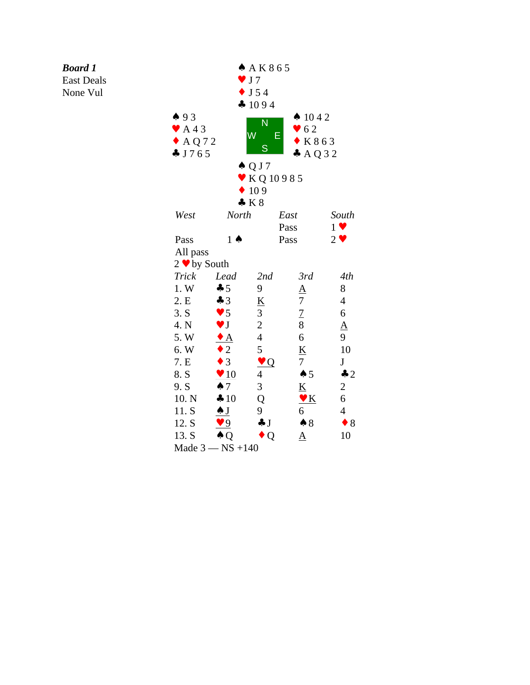## *Board 1*

East Deals

None Vul

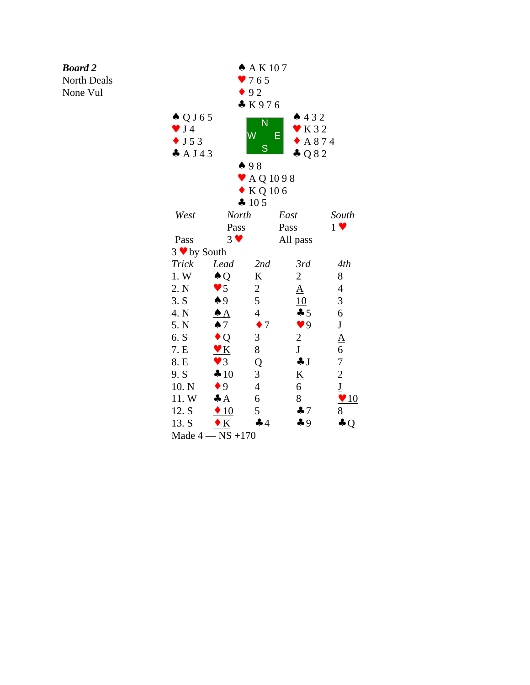## *Board 2*

North Deals

None Vul